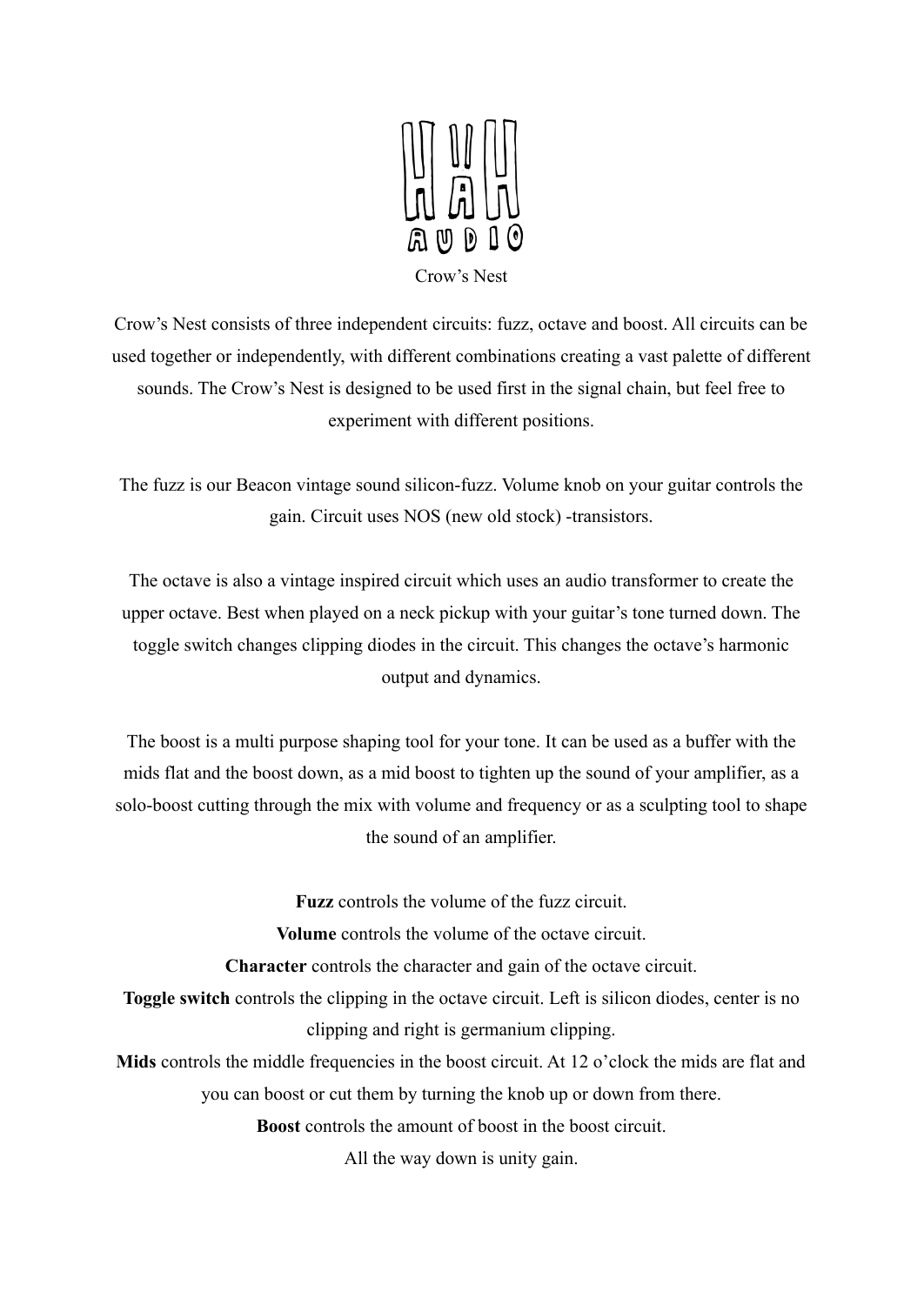

Crow's Nest consists of three independent circuits: fuzz, octave and boost. All circuits can be used together or independently, with different combinations creating a vast palette of different sounds. The Crow's Nest is designed to be used first in the signal chain, but feel free to experiment with different positions.

The fuzz is our Beacon vintage sound silicon-fuzz. Volume knob on your guitar controls the gain. Circuit uses NOS (new old stock) -transistors.

The octave is also a vintage inspired circuit which uses an audio transformer to create the upper octave. Best when played on a neck pickup with your guitar's tone turned down. The toggle switch changes clipping diodes in the circuit. This changes the octave's harmonic output and dynamics.

The boost is a multi purpose shaping tool for your tone. It can be used as a buffer with the mids flat and the boost down, as a mid boost to tighten up the sound of your amplifier, as a solo-boost cutting through the mix with volume and frequency or as a sculpting tool to shape the sound of an amplifier.

**Fuzz** controls the volume of the fuzz circuit.

**Volume** controls the volume of the octave circuit.

**Character** controls the character and gain of the octave circuit.

**Toggle switch** controls the clipping in the octave circuit. Left is silicon diodes, center is no clipping and right is germanium clipping.

Mids controls the middle frequencies in the boost circuit. At 12 o'clock the mids are flat and you can boost or cut them by turning the knob up or down from there.

**Boost** controls the amount of boost in the boost circuit.

All the way down is unity gain.